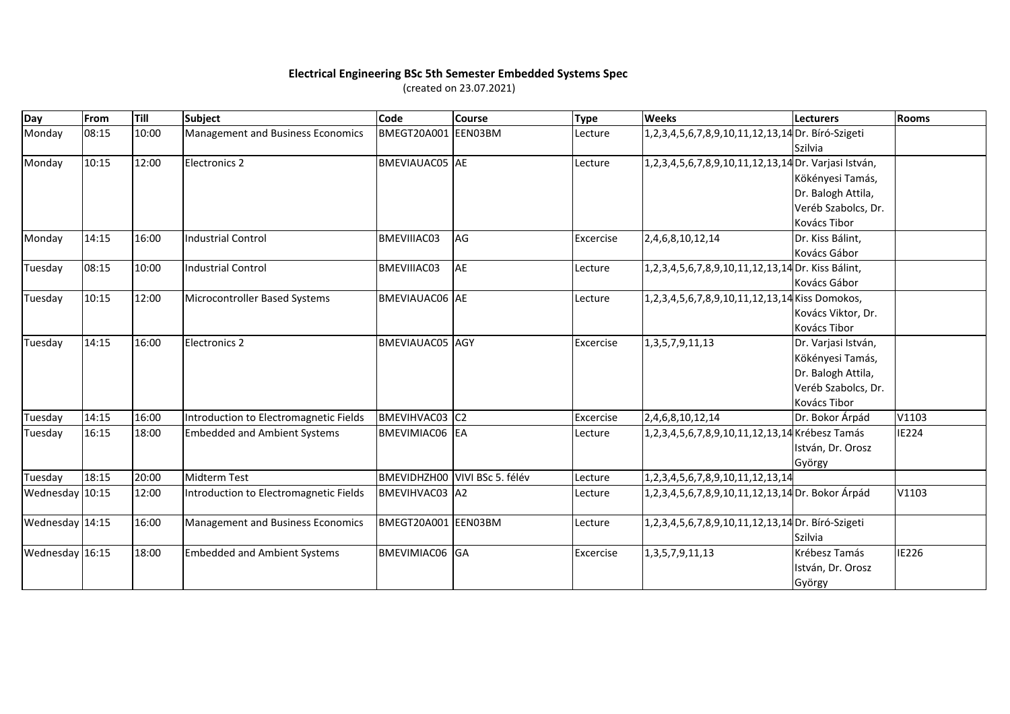## **Electrical Engineering BSc 5th Semester Embedded Systems Spec**

(created on 23.07.2021)

| Day             | From  | Till  | Subject                                | Code                  | Course                        | <b>Type</b> | <b>Weeks</b>                                         | <b>Lecturers</b>    | <b>Rooms</b> |
|-----------------|-------|-------|----------------------------------------|-----------------------|-------------------------------|-------------|------------------------------------------------------|---------------------|--------------|
| Monday          | 08:15 | 10:00 | Management and Business Economics      | BMEGT20A001           | EEN03BM                       | Lecture     | 1,2,3,4,5,6,7,8,9,10,11,12,13,14 Dr. Bíró-Szigeti    |                     |              |
|                 |       |       |                                        |                       |                               |             |                                                      | Szilvia             |              |
| Monday          | 10:15 | 12:00 | Electronics 2                          | BMEVIAUAC05 AE        |                               | Lecture     | 1,2,3,4,5,6,7,8,9,10,11,12,13,14 Dr. Varjasi István, |                     |              |
|                 |       |       |                                        |                       |                               |             |                                                      | Kökényesi Tamás,    |              |
|                 |       |       |                                        |                       |                               |             |                                                      | Dr. Balogh Attila,  |              |
|                 |       |       |                                        |                       |                               |             |                                                      | Veréb Szabolcs, Dr. |              |
|                 |       |       |                                        |                       |                               |             |                                                      | Kovács Tibor        |              |
| Monday          | 14:15 | 16:00 | Industrial Control                     | BMEVIIIAC03           | AG                            | Excercise   | 2,4,6,8,10,12,14                                     | Dr. Kiss Bálint,    |              |
|                 |       |       |                                        |                       |                               |             |                                                      | Kovács Gábor        |              |
| Tuesday         | 08:15 | 10:00 | Industrial Control                     | BMEVIIIAC03           | <b>AE</b>                     | Lecture     | 1,2,3,4,5,6,7,8,9,10,11,12,13,14 Dr. Kiss Bálint,    |                     |              |
|                 |       |       |                                        |                       |                               |             |                                                      | Kovács Gábor        |              |
| Tuesday         | 10:15 | 12:00 | Microcontroller Based Systems          | BMEVIAUAC06 AE        |                               | Lecture     | 1,2,3,4,5,6,7,8,9,10,11,12,13,14 Kiss Domokos,       |                     |              |
|                 |       |       |                                        |                       |                               |             |                                                      | Kovács Viktor, Dr.  |              |
|                 |       |       |                                        |                       |                               |             |                                                      | Kovács Tibor        |              |
| Tuesday         | 14:15 | 16:00 | <b>Electronics 2</b>                   | BMEVIAUAC05 AGY       |                               | Excercise   | 1, 3, 5, 7, 9, 11, 13                                | Dr. Varjasi István, |              |
|                 |       |       |                                        |                       |                               |             |                                                      | Kökényesi Tamás,    |              |
|                 |       |       |                                        |                       |                               |             |                                                      | Dr. Balogh Attila,  |              |
|                 |       |       |                                        |                       |                               |             |                                                      | Veréb Szabolcs, Dr. |              |
|                 |       |       |                                        |                       |                               |             |                                                      | Kovács Tibor        |              |
| Tuesday         | 14:15 | 16:00 | Introduction to Electromagnetic Fields | <b>BMEVIHVAC03</b> C2 |                               | Excercise   | 2,4,6,8,10,12,14                                     | Dr. Bokor Árpád     | V1103        |
| Tuesday         | 16:15 | 18:00 | <b>Embedded and Ambient Systems</b>    | <b>BMEVIMIAC06 EA</b> |                               | Lecture     | 1,2,3,4,5,6,7,8,9,10,11,12,13,14 Krébesz Tamás       |                     | IE224        |
|                 |       |       |                                        |                       |                               |             |                                                      | István, Dr. Orosz   |              |
|                 |       |       |                                        |                       |                               |             |                                                      | György              |              |
| Tuesday         | 18:15 | 20:00 | Midterm Test                           |                       | BMEVIDHZH00 VIVI BSc 5. félév | Lecture     | 1, 2, 3, 4, 5, 6, 7, 8, 9, 10, 11, 12, 13, 14        |                     |              |
| Wednesday 10:15 |       | 12:00 | Introduction to Electromagnetic Fields | BMEVIHVAC03   A2      |                               | Lecture     | 1,2,3,4,5,6,7,8,9,10,11,12,13,14 Dr. Bokor Árpád     |                     | V1103        |
|                 |       |       |                                        |                       |                               |             |                                                      |                     |              |
| Wednesday 14:15 |       | 16:00 | Management and Business Economics      | BMEGT20A001 EEN03BM   |                               | Lecture     | 1,2,3,4,5,6,7,8,9,10,11,12,13,14 Dr. Bíró-Szigeti    |                     |              |
|                 |       |       |                                        |                       |                               |             |                                                      | Szilvia             |              |
| Wednesday 16:15 |       | 18:00 | <b>Embedded and Ambient Systems</b>    | BMEVIMIAC06 GA        |                               | Excercise   | 1, 3, 5, 7, 9, 11, 13                                | Krébesz Tamás       | <b>IE226</b> |
|                 |       |       |                                        |                       |                               |             |                                                      | István, Dr. Orosz   |              |
|                 |       |       |                                        |                       |                               |             |                                                      | György              |              |